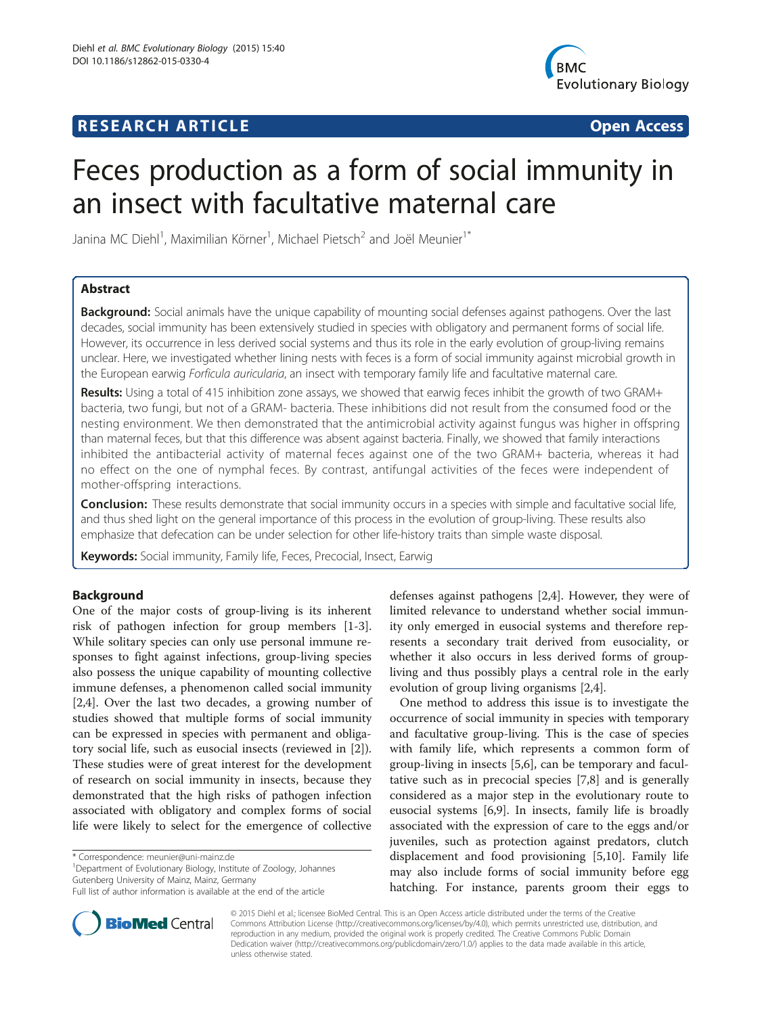# **RESEARCH ARTICLE Example 2018 12:00 Department of the CONNECTION CONNECTION CONNECTION CONNECTION**



# Feces production as a form of social immunity in an insect with facultative maternal care

Janina MC Diehl<sup>1</sup>, Maximilian Körner<sup>1</sup>, Michael Pietsch<sup>2</sup> and Joël Meunier<sup>1\*</sup>

# Abstract

Background: Social animals have the unique capability of mounting social defenses against pathogens. Over the last decades, social immunity has been extensively studied in species with obligatory and permanent forms of social life. However, its occurrence in less derived social systems and thus its role in the early evolution of group-living remains unclear. Here, we investigated whether lining nests with feces is a form of social immunity against microbial growth in the European earwig Forficula auricularia, an insect with temporary family life and facultative maternal care.

Results: Using a total of 415 inhibition zone assays, we showed that earwig feces inhibit the growth of two GRAM+ bacteria, two fungi, but not of a GRAM- bacteria. These inhibitions did not result from the consumed food or the nesting environment. We then demonstrated that the antimicrobial activity against fungus was higher in offspring than maternal feces, but that this difference was absent against bacteria. Finally, we showed that family interactions inhibited the antibacterial activity of maternal feces against one of the two GRAM+ bacteria, whereas it had no effect on the one of nymphal feces. By contrast, antifungal activities of the feces were independent of mother-offspring interactions.

Conclusion: These results demonstrate that social immunity occurs in a species with simple and facultative social life, and thus shed light on the general importance of this process in the evolution of group-living. These results also emphasize that defecation can be under selection for other life-history traits than simple waste disposal.

Keywords: Social immunity, Family life, Feces, Precocial, Insect, Earwig

# Background

One of the major costs of group-living is its inherent risk of pathogen infection for group members [[1-3](#page-6-0)]. While solitary species can only use personal immune responses to fight against infections, group-living species also possess the unique capability of mounting collective immune defenses, a phenomenon called social immunity [[2,4\]](#page-6-0). Over the last two decades, a growing number of studies showed that multiple forms of social immunity can be expressed in species with permanent and obligatory social life, such as eusocial insects (reviewed in [\[2](#page-6-0)]). These studies were of great interest for the development of research on social immunity in insects, because they demonstrated that the high risks of pathogen infection associated with obligatory and complex forms of social life were likely to select for the emergence of collective

<sup>1</sup>Department of Evolutionary Biology, Institute of Zoology, Johannes Gutenberg University of Mainz, Mainz, Germany



One method to address this issue is to investigate the occurrence of social immunity in species with temporary and facultative group-living. This is the case of species with family life, which represents a common form of group-living in insects [\[5,6](#page-6-0)], can be temporary and facultative such as in precocial species [[7,8\]](#page-6-0) and is generally considered as a major step in the evolutionary route to eusocial systems [\[6,9\]](#page-6-0). In insects, family life is broadly associated with the expression of care to the eggs and/or juveniles, such as protection against predators, clutch displacement and food provisioning [[5](#page-6-0),[10](#page-6-0)]. Family life may also include forms of social immunity before egg hatching. For instance, parents groom their eggs to



© 2015 Diehl et al.; licensee BioMed Central. This is an Open Access article distributed under the terms of the Creative Commons Attribution License [\(http://creativecommons.org/licenses/by/4.0\)](http://creativecommons.org/licenses/by/4.0), which permits unrestricted use, distribution, and reproduction in any medium, provided the original work is properly credited. The Creative Commons Public Domain Dedication waiver [\(http://creativecommons.org/publicdomain/zero/1.0/](http://creativecommons.org/publicdomain/zero/1.0/)) applies to the data made available in this article, unless otherwise stated.

<sup>\*</sup> Correspondence: [meunier@uni-mainz.de](mailto:meunier@uni-mainz.de) <sup>1</sup>

Full list of author information is available at the end of the article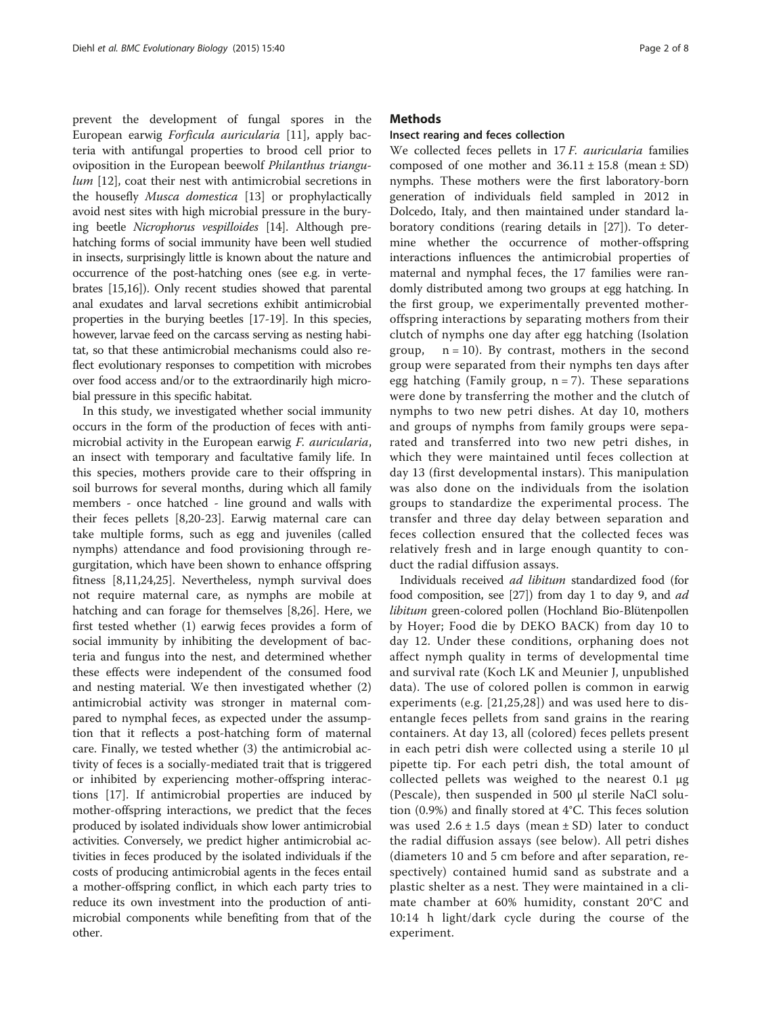prevent the development of fungal spores in the European earwig Forficula auricularia [[11\]](#page-6-0), apply bacteria with antifungal properties to brood cell prior to oviposition in the European beewolf Philanthus triangu-lum [\[12](#page-6-0)], coat their nest with antimicrobial secretions in the housefly Musca domestica [\[13](#page-6-0)] or prophylactically avoid nest sites with high microbial pressure in the burying beetle Nicrophorus vespilloides [[14](#page-6-0)]. Although prehatching forms of social immunity have been well studied in insects, surprisingly little is known about the nature and occurrence of the post-hatching ones (see e.g. in vertebrates [[15,16\]](#page-6-0)). Only recent studies showed that parental anal exudates and larval secretions exhibit antimicrobial properties in the burying beetles [[17](#page-6-0)-[19](#page-6-0)]. In this species, however, larvae feed on the carcass serving as nesting habitat, so that these antimicrobial mechanisms could also reflect evolutionary responses to competition with microbes over food access and/or to the extraordinarily high microbial pressure in this specific habitat.

In this study, we investigated whether social immunity occurs in the form of the production of feces with antimicrobial activity in the European earwig *F. auricularia*, an insect with temporary and facultative family life. In this species, mothers provide care to their offspring in soil burrows for several months, during which all family members - once hatched - line ground and walls with their feces pellets [[8,20-23](#page-6-0)]. Earwig maternal care can take multiple forms, such as egg and juveniles (called nymphs) attendance and food provisioning through regurgitation, which have been shown to enhance offspring fitness [[8,11,24,25\]](#page-6-0). Nevertheless, nymph survival does not require maternal care, as nymphs are mobile at hatching and can forage for themselves [[8](#page-6-0),[26](#page-6-0)]. Here, we first tested whether (1) earwig feces provides a form of social immunity by inhibiting the development of bacteria and fungus into the nest, and determined whether these effects were independent of the consumed food and nesting material. We then investigated whether (2) antimicrobial activity was stronger in maternal compared to nymphal feces, as expected under the assumption that it reflects a post-hatching form of maternal care. Finally, we tested whether (3) the antimicrobial activity of feces is a socially-mediated trait that is triggered or inhibited by experiencing mother-offspring interactions [[17](#page-6-0)]. If antimicrobial properties are induced by mother-offspring interactions, we predict that the feces produced by isolated individuals show lower antimicrobial activities. Conversely, we predict higher antimicrobial activities in feces produced by the isolated individuals if the costs of producing antimicrobial agents in the feces entail a mother-offspring conflict, in which each party tries to reduce its own investment into the production of antimicrobial components while benefiting from that of the other.

### Methods

# Insect rearing and feces collection

We collected feces pellets in 17 F. auricularia families composed of one mother and  $36.11 \pm 15.8$  (mean  $\pm$  SD) nymphs. These mothers were the first laboratory-born generation of individuals field sampled in 2012 in Dolcedo, Italy, and then maintained under standard laboratory conditions (rearing details in [[27\]](#page-6-0)). To determine whether the occurrence of mother-offspring interactions influences the antimicrobial properties of maternal and nymphal feces, the 17 families were randomly distributed among two groups at egg hatching. In the first group, we experimentally prevented motheroffspring interactions by separating mothers from their clutch of nymphs one day after egg hatching (Isolation group,  $n = 10$ ). By contrast, mothers in the second group were separated from their nymphs ten days after egg hatching (Family group,  $n = 7$ ). These separations were done by transferring the mother and the clutch of nymphs to two new petri dishes. At day 10, mothers and groups of nymphs from family groups were separated and transferred into two new petri dishes, in which they were maintained until feces collection at day 13 (first developmental instars). This manipulation was also done on the individuals from the isolation groups to standardize the experimental process. The transfer and three day delay between separation and feces collection ensured that the collected feces was relatively fresh and in large enough quantity to conduct the radial diffusion assays.

Individuals received ad libitum standardized food (for food composition, see [[27\]](#page-6-0)) from day 1 to day 9, and ad libitum green-colored pollen (Hochland Bio-Blütenpollen by Hoyer; Food die by DEKO BACK) from day 10 to day 12. Under these conditions, orphaning does not affect nymph quality in terms of developmental time and survival rate (Koch LK and Meunier J, unpublished data). The use of colored pollen is common in earwig experiments (e.g. [[21](#page-6-0),[25,28](#page-6-0)]) and was used here to disentangle feces pellets from sand grains in the rearing containers. At day 13, all (colored) feces pellets present in each petri dish were collected using a sterile 10 μl pipette tip. For each petri dish, the total amount of collected pellets was weighed to the nearest 0.1 μg (Pescale), then suspended in 500 μl sterile NaCl solution (0.9%) and finally stored at 4°C. This feces solution was used  $2.6 \pm 1.5$  days (mean  $\pm$  SD) later to conduct the radial diffusion assays (see below). All petri dishes (diameters 10 and 5 cm before and after separation, respectively) contained humid sand as substrate and a plastic shelter as a nest. They were maintained in a climate chamber at 60% humidity, constant 20°C and 10:14 h light/dark cycle during the course of the experiment.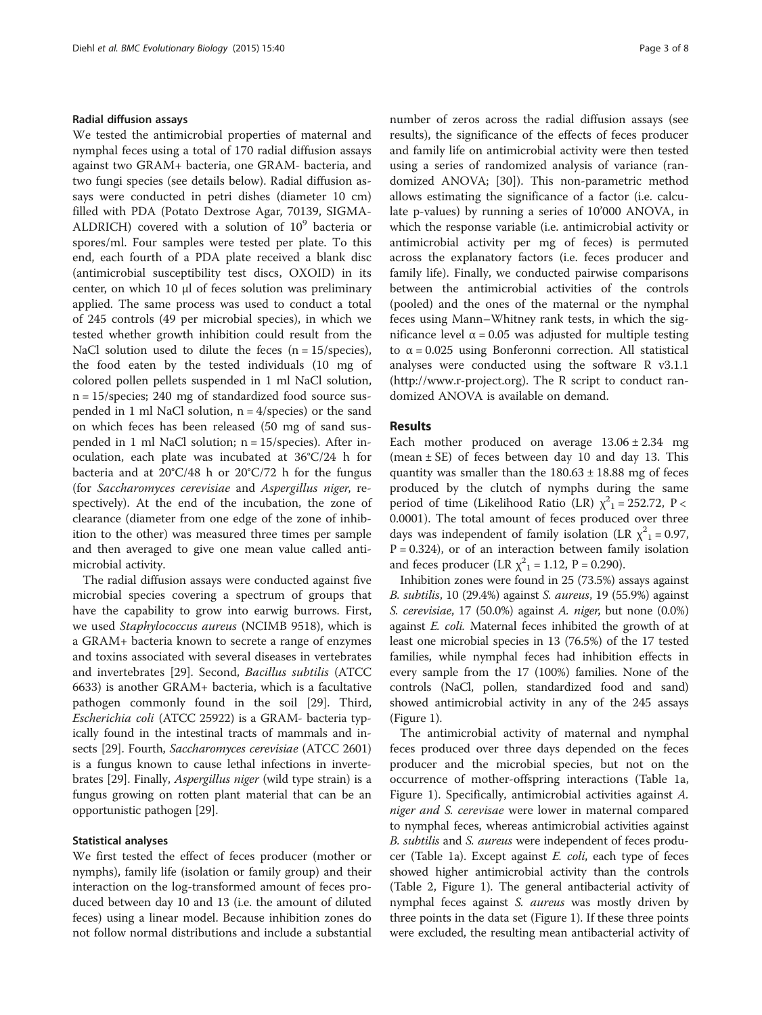#### Radial diffusion assays

We tested the antimicrobial properties of maternal and nymphal feces using a total of 170 radial diffusion assays against two GRAM+ bacteria, one GRAM- bacteria, and two fungi species (see details below). Radial diffusion assays were conducted in petri dishes (diameter 10 cm) filled with PDA (Potato Dextrose Agar, 70139, SIGMA-ALDRICH) covered with a solution of  $10^9$  bacteria or spores/ml. Four samples were tested per plate. To this end, each fourth of a PDA plate received a blank disc (antimicrobial susceptibility test discs, OXOID) in its center, on which 10 μl of feces solution was preliminary applied. The same process was used to conduct a total of 245 controls (49 per microbial species), in which we tested whether growth inhibition could result from the NaCl solution used to dilute the feces  $(n = 15/\text{species})$ , the food eaten by the tested individuals (10 mg of colored pollen pellets suspended in 1 ml NaCl solution, n = 15/species; 240 mg of standardized food source suspended in 1 ml NaCl solution,  $n = 4$ /species) or the sand on which feces has been released (50 mg of sand suspended in 1 ml NaCl solution;  $n = 15$ /species). After inoculation, each plate was incubated at 36°C/24 h for bacteria and at 20°C/48 h or 20°C/72 h for the fungus (for Saccharomyces cerevisiae and Aspergillus niger, respectively). At the end of the incubation, the zone of clearance (diameter from one edge of the zone of inhibition to the other) was measured three times per sample and then averaged to give one mean value called antimicrobial activity.

The radial diffusion assays were conducted against five microbial species covering a spectrum of groups that have the capability to grow into earwig burrows. First, we used Staphylococcus aureus (NCIMB 9518), which is a GRAM+ bacteria known to secrete a range of enzymes and toxins associated with several diseases in vertebrates and invertebrates [\[29\]](#page-6-0). Second, Bacillus subtilis (ATCC 6633) is another GRAM+ bacteria, which is a facultative pathogen commonly found in the soil [[29\]](#page-6-0). Third, Escherichia coli (ATCC 25922) is a GRAM- bacteria typically found in the intestinal tracts of mammals and insects [\[29\]](#page-6-0). Fourth, Saccharomyces cerevisiae (ATCC 2601) is a fungus known to cause lethal infections in invertebrates [[29](#page-6-0)]. Finally, Aspergillus niger (wild type strain) is a fungus growing on rotten plant material that can be an opportunistic pathogen [[29](#page-6-0)].

#### Statistical analyses

We first tested the effect of feces producer (mother or nymphs), family life (isolation or family group) and their interaction on the log-transformed amount of feces produced between day 10 and 13 (i.e. the amount of diluted feces) using a linear model. Because inhibition zones do not follow normal distributions and include a substantial

number of zeros across the radial diffusion assays (see results), the significance of the effects of feces producer and family life on antimicrobial activity were then tested using a series of randomized analysis of variance (randomized ANOVA; [[30\]](#page-6-0)). This non-parametric method allows estimating the significance of a factor (i.e. calculate p-values) by running a series of 10'000 ANOVA, in which the response variable (i.e. antimicrobial activity or antimicrobial activity per mg of feces) is permuted across the explanatory factors (i.e. feces producer and family life). Finally, we conducted pairwise comparisons between the antimicrobial activities of the controls (pooled) and the ones of the maternal or the nymphal feces using Mann–Whitney rank tests, in which the significance level  $α = 0.05$  was adjusted for multiple testing to α = 0.025 using Bonferonni correction. All statistical analyses were conducted using the software R v3.1.1 ([http://www.r-project.org\)](http://www.r-project.org). The R script to conduct randomized ANOVA is available on demand.

# **Results**

Each mother produced on average  $13.06 \pm 2.34$  mg (mean  $\pm$  SE) of feces between day 10 and day 13. This quantity was smaller than the  $180.63 \pm 18.88$  mg of feces produced by the clutch of nymphs during the same period of time (Likelihood Ratio (LR)  $\chi^2$ <sub>1</sub> = 252.72, P < 0.0001). The total amount of feces produced over three days was independent of family isolation (LR  $\chi^2$ <sub>1</sub> = 0.97,  $P = 0.324$ ), or of an interaction between family isolation and feces producer (LR  $\chi^2$ <sub>1</sub> = 1.12, P = 0.290).

Inhibition zones were found in 25 (73.5%) assays against B. subtilis, 10 (29.4%) against S. aureus, 19 (55.9%) against S. cerevisiae, 17 (50.0%) against A. niger, but none (0.0%) against E. coli. Maternal feces inhibited the growth of at least one microbial species in 13 (76.5%) of the 17 tested families, while nymphal feces had inhibition effects in every sample from the 17 (100%) families. None of the controls (NaCl, pollen, standardized food and sand) showed antimicrobial activity in any of the 245 assays (Figure [1](#page-3-0)).

The antimicrobial activity of maternal and nymphal feces produced over three days depended on the feces producer and the microbial species, but not on the occurrence of mother-offspring interactions (Table [1a](#page-3-0), Figure [1](#page-3-0)). Specifically, antimicrobial activities against A. niger and S. cerevisae were lower in maternal compared to nymphal feces, whereas antimicrobial activities against B. subtilis and S. aureus were independent of feces producer (Table [1](#page-3-0)a). Except against E. coli, each type of feces showed higher antimicrobial activity than the controls (Table [2](#page-4-0), Figure [1](#page-3-0)). The general antibacterial activity of nymphal feces against *S. aureus* was mostly driven by three points in the data set (Figure [1\)](#page-3-0). If these three points were excluded, the resulting mean antibacterial activity of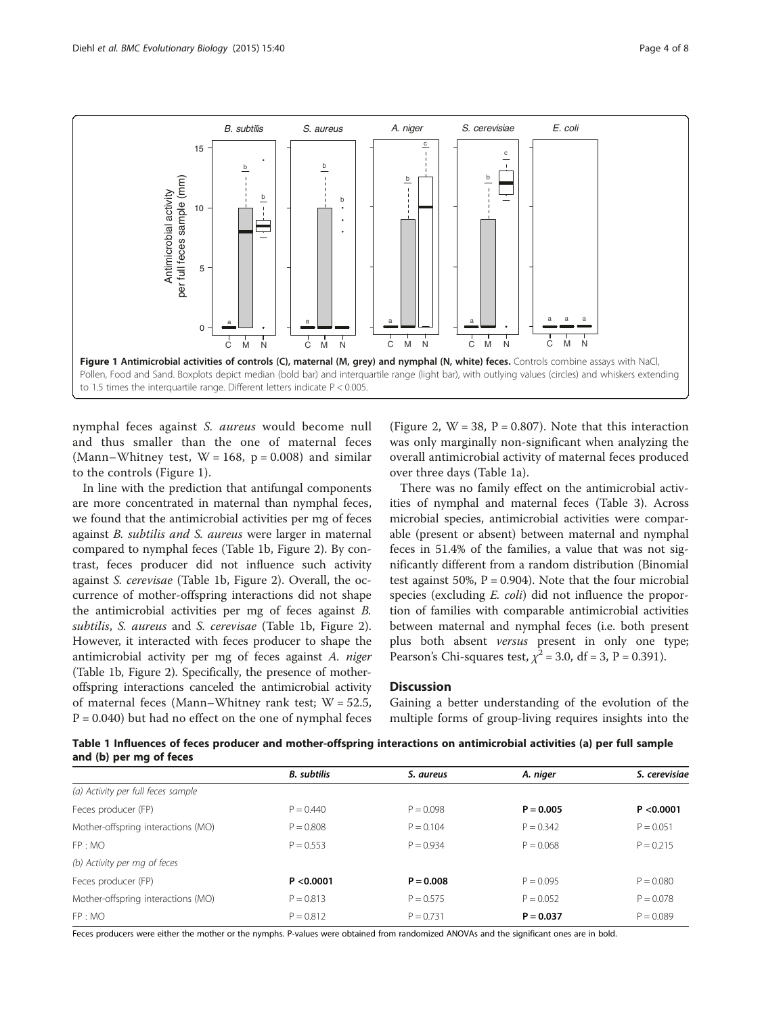<span id="page-3-0"></span>

nymphal feces against S. aureus would become null and thus smaller than the one of maternal feces (Mann–Whitney test,  $W = 168$ ,  $p = 0.008$ ) and similar to the controls (Figure 1).

In line with the prediction that antifungal components are more concentrated in maternal than nymphal feces, we found that the antimicrobial activities per mg of feces against B. subtilis and S. aureus were larger in maternal compared to nymphal feces (Table 1b, Figure [2](#page-4-0)). By contrast, feces producer did not influence such activity against S. cerevisae (Table 1b, Figure [2](#page-4-0)). Overall, the occurrence of mother-offspring interactions did not shape the antimicrobial activities per mg of feces against B. subtilis, S. aureus and S. cerevisae (Table 1b, Figure [2](#page-4-0)). However, it interacted with feces producer to shape the antimicrobial activity per mg of feces against A. niger (Table 1b, Figure [2\)](#page-4-0). Specifically, the presence of motheroffspring interactions canceled the antimicrobial activity of maternal feces (Mann–Whitney rank test;  $W = 52.5$ ,  $P = 0.040$ ) but had no effect on the one of nymphal feces

(Figure [2,](#page-4-0)  $W = 38$ ,  $P = 0.807$ ). Note that this interaction was only marginally non-significant when analyzing the overall antimicrobial activity of maternal feces produced over three days (Table 1a).

There was no family effect on the antimicrobial activities of nymphal and maternal feces (Table [3\)](#page-5-0). Across microbial species, antimicrobial activities were comparable (present or absent) between maternal and nymphal feces in 51.4% of the families, a value that was not significantly different from a random distribution (Binomial test against 50%,  $P = 0.904$ ). Note that the four microbial species (excluding *E. coli*) did not influence the proportion of families with comparable antimicrobial activities between maternal and nymphal feces (i.e. both present plus both absent versus present in only one type; Pearson's Chi-squares test,  $\chi^2$  = 3.0, df = 3, P = 0.391).

# **Discussion**

Gaining a better understanding of the evolution of the multiple forms of group-living requires insights into the

Table 1 Influences of feces producer and mother-offspring interactions on antimicrobial activities (a) per full sample and (b) per mg of feces

|                                    | <b>B.</b> subtilis | S. aureus   | A. niger    | S. cerevisiae |
|------------------------------------|--------------------|-------------|-------------|---------------|
| (a) Activity per full feces sample |                    |             |             |               |
| Feces producer (FP)                | $P = 0.440$        | $P = 0.098$ | $P = 0.005$ | P < 0.0001    |
| Mother-offspring interactions (MO) | $P = 0.808$        | $P = 0.104$ | $P = 0.342$ | $P = 0.051$   |
| FP: MO                             | $P = 0.553$        | $P = 0.934$ | $P = 0.068$ | $P = 0.215$   |
| (b) Activity per mg of feces       |                    |             |             |               |
| Feces producer (FP)                | P < 0.0001         | $P = 0.008$ | $P = 0.095$ | $P = 0.080$   |
| Mother-offspring interactions (MO) | $P = 0.813$        | $P = 0.575$ | $P = 0.052$ | $P = 0.078$   |
| FP: MO                             | $P = 0.812$        | $P = 0.731$ | $P = 0.037$ | $P = 0.089$   |

Feces producers were either the mother or the nymphs. P-values were obtained from randomized ANOVAs and the significant ones are in bold.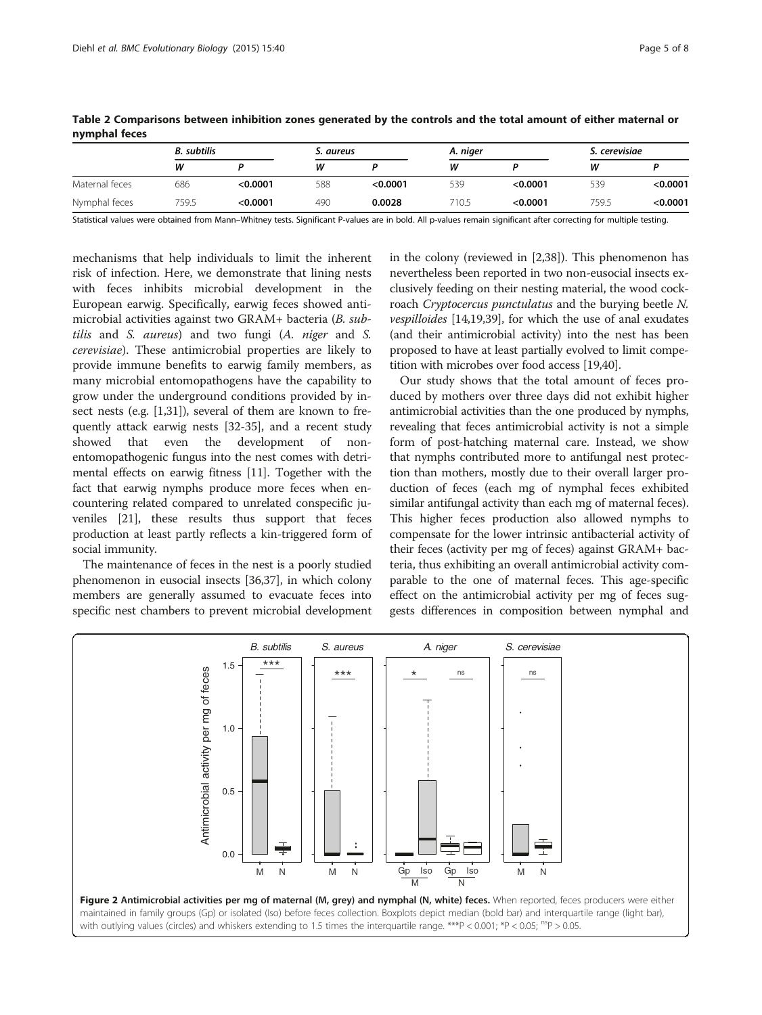|                | <b>B.</b> subtilis |          |     | S. aureus |       | A. niger |       | S. cerevisiae |  |
|----------------|--------------------|----------|-----|-----------|-------|----------|-------|---------------|--|
|                | w                  |          | W   |           | W     |          | w     |               |  |
| Maternal feces | 686                | < 0.0001 | 588 | < 0.0001  | 539   | < 0.0001 | 539   | < 0.0001      |  |
| Nymphal feces  | 759.5              | < 0.0001 | 490 | 0.0028    | 710.5 | < 0.0001 | 759.5 | < 0.0001      |  |

<span id="page-4-0"></span>Table 2 Comparisons between inhibition zones generated by the controls and the total amount of either maternal or nymphal feces

Statistical values were obtained from Mann–Whitney tests. Significant P-values are in bold. All p-values remain significant after correcting for multiple testing.

mechanisms that help individuals to limit the inherent risk of infection. Here, we demonstrate that lining nests with feces inhibits microbial development in the European earwig. Specifically, earwig feces showed antimicrobial activities against two GRAM+ bacteria (B. subtilis and S. aureus) and two fungi (A. niger and S. cerevisiae). These antimicrobial properties are likely to provide immune benefits to earwig family members, as many microbial entomopathogens have the capability to grow under the underground conditions provided by insect nests (e.g. [\[1,31\]](#page-6-0)), several of them are known to frequently attack earwig nests [\[32-35](#page-6-0)], and a recent study showed that even the development of nonentomopathogenic fungus into the nest comes with detrimental effects on earwig fitness [\[11\]](#page-6-0). Together with the fact that earwig nymphs produce more feces when encountering related compared to unrelated conspecific juveniles [\[21\]](#page-6-0), these results thus support that feces production at least partly reflects a kin-triggered form of social immunity.

The maintenance of feces in the nest is a poorly studied phenomenon in eusocial insects [[36,37\]](#page-6-0), in which colony members are generally assumed to evacuate feces into specific nest chambers to prevent microbial development in the colony (reviewed in [[2,38](#page-6-0)]). This phenomenon has nevertheless been reported in two non-eusocial insects exclusively feeding on their nesting material, the wood cockroach Cryptocercus punctulatus and the burying beetle N. vespilloides [\[14,19,39](#page-6-0)], for which the use of anal exudates (and their antimicrobial activity) into the nest has been proposed to have at least partially evolved to limit competition with microbes over food access [\[19,40](#page-6-0)].

Our study shows that the total amount of feces produced by mothers over three days did not exhibit higher antimicrobial activities than the one produced by nymphs, revealing that feces antimicrobial activity is not a simple form of post-hatching maternal care. Instead, we show that nymphs contributed more to antifungal nest protection than mothers, mostly due to their overall larger production of feces (each mg of nymphal feces exhibited similar antifungal activity than each mg of maternal feces). This higher feces production also allowed nymphs to compensate for the lower intrinsic antibacterial activity of their feces (activity per mg of feces) against GRAM+ bacteria, thus exhibiting an overall antimicrobial activity comparable to the one of maternal feces. This age-specific effect on the antimicrobial activity per mg of feces suggests differences in composition between nymphal and

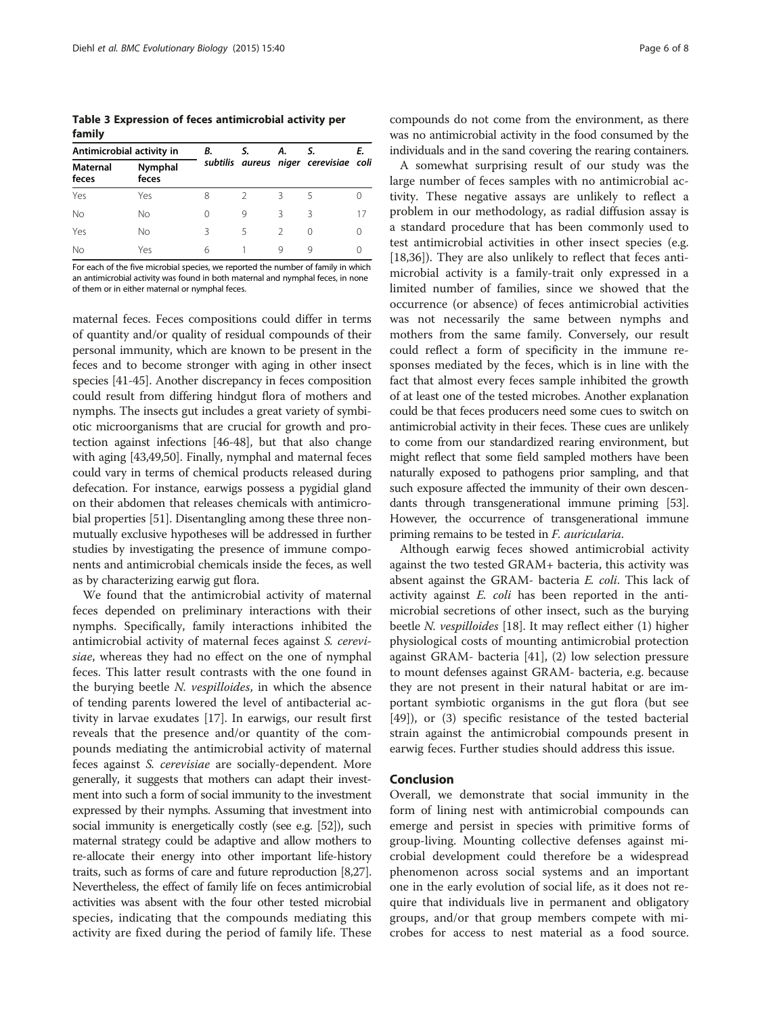<span id="page-5-0"></span>Table 3 Expression of feces antimicrobial activity per family

| Antimicrobial activity in |                  | В. | S. | А. | S.                                    | Ε. |
|---------------------------|------------------|----|----|----|---------------------------------------|----|
| <b>Maternal</b><br>feces  | Nymphal<br>feces |    |    |    | subtilis aureus niger cerevisiae coli |    |
| Yes                       | Yes              | 8  |    | Β  |                                       |    |
| <b>No</b>                 | Νo               | 0  | 9  | Β  | ζ                                     | 17 |
| Yes                       | Nο               | ζ  | 5  |    | 0                                     | Ω  |
| No                        | Yes              | 6  |    | Q  | Q                                     |    |

For each of the five microbial species, we reported the number of family in which an antimicrobial activity was found in both maternal and nymphal feces, in none of them or in either maternal or nymphal feces.

maternal feces. Feces compositions could differ in terms of quantity and/or quality of residual compounds of their personal immunity, which are known to be present in the feces and to become stronger with aging in other insect species [[41](#page-6-0)-[45](#page-6-0)]. Another discrepancy in feces composition could result from differing hindgut flora of mothers and nymphs. The insects gut includes a great variety of symbiotic microorganisms that are crucial for growth and protection against infections [[46](#page-7-0)-[48](#page-7-0)], but that also change with aging [[43](#page-6-0)[,49,50\]](#page-7-0). Finally, nymphal and maternal feces could vary in terms of chemical products released during defecation. For instance, earwigs possess a pygidial gland on their abdomen that releases chemicals with antimicrobial properties [[51](#page-7-0)]. Disentangling among these three nonmutually exclusive hypotheses will be addressed in further studies by investigating the presence of immune components and antimicrobial chemicals inside the feces, as well as by characterizing earwig gut flora.

We found that the antimicrobial activity of maternal feces depended on preliminary interactions with their nymphs. Specifically, family interactions inhibited the antimicrobial activity of maternal feces against S. cerevisiae, whereas they had no effect on the one of nymphal feces. This latter result contrasts with the one found in the burying beetle N. vespilloides, in which the absence of tending parents lowered the level of antibacterial activity in larvae exudates [[17](#page-6-0)]. In earwigs, our result first reveals that the presence and/or quantity of the compounds mediating the antimicrobial activity of maternal feces against S. cerevisiae are socially-dependent. More generally, it suggests that mothers can adapt their investment into such a form of social immunity to the investment expressed by their nymphs. Assuming that investment into social immunity is energetically costly (see e.g. [\[52\]](#page-7-0)), such maternal strategy could be adaptive and allow mothers to re-allocate their energy into other important life-history traits, such as forms of care and future reproduction [\[8,27](#page-6-0)]. Nevertheless, the effect of family life on feces antimicrobial activities was absent with the four other tested microbial species, indicating that the compounds mediating this activity are fixed during the period of family life. These

compounds do not come from the environment, as there was no antimicrobial activity in the food consumed by the individuals and in the sand covering the rearing containers.

A somewhat surprising result of our study was the large number of feces samples with no antimicrobial activity. These negative assays are unlikely to reflect a problem in our methodology, as radial diffusion assay is a standard procedure that has been commonly used to test antimicrobial activities in other insect species (e.g. [[18,36\]](#page-6-0)). They are also unlikely to reflect that feces antimicrobial activity is a family-trait only expressed in a limited number of families, since we showed that the occurrence (or absence) of feces antimicrobial activities was not necessarily the same between nymphs and mothers from the same family. Conversely, our result could reflect a form of specificity in the immune responses mediated by the feces, which is in line with the fact that almost every feces sample inhibited the growth of at least one of the tested microbes. Another explanation could be that feces producers need some cues to switch on antimicrobial activity in their feces. These cues are unlikely to come from our standardized rearing environment, but might reflect that some field sampled mothers have been naturally exposed to pathogens prior sampling, and that such exposure affected the immunity of their own descendants through transgenerational immune priming [\[53](#page-7-0)]. However, the occurrence of transgenerational immune priming remains to be tested in F. auricularia.

Although earwig feces showed antimicrobial activity against the two tested GRAM+ bacteria, this activity was absent against the GRAM- bacteria E. coli. This lack of activity against E. coli has been reported in the antimicrobial secretions of other insect, such as the burying beetle *N. vespilloides* [[18\]](#page-6-0). It may reflect either (1) higher physiological costs of mounting antimicrobial protection against GRAM- bacteria [[41\]](#page-6-0), (2) low selection pressure to mount defenses against GRAM- bacteria, e.g. because they are not present in their natural habitat or are important symbiotic organisms in the gut flora (but see [[49\]](#page-7-0)), or (3) specific resistance of the tested bacterial strain against the antimicrobial compounds present in earwig feces. Further studies should address this issue.

#### Conclusion

Overall, we demonstrate that social immunity in the form of lining nest with antimicrobial compounds can emerge and persist in species with primitive forms of group-living. Mounting collective defenses against microbial development could therefore be a widespread phenomenon across social systems and an important one in the early evolution of social life, as it does not require that individuals live in permanent and obligatory groups, and/or that group members compete with microbes for access to nest material as a food source.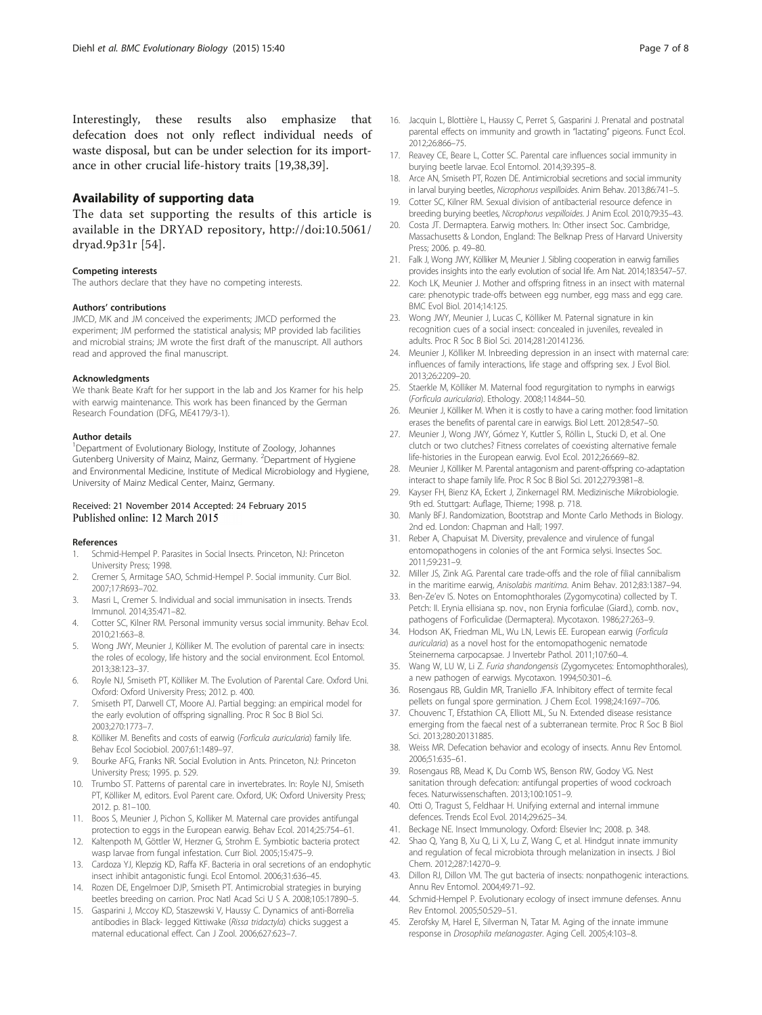<span id="page-6-0"></span>Interestingly, these results also emphasize that defecation does not only reflect individual needs of waste disposal, but can be under selection for its importance in other crucial life-history traits [19,38,39].

## Availability of supporting data

The data set supporting the results of this article is available in the DRYAD repository, [http://doi:10.5061/](http://doi:10.5061/dryad.9p31r) [dryad.9p31r](http://doi:10.5061/dryad.9p31r) [\[54\]](#page-7-0).

#### Competing interests

The authors declare that they have no competing interests.

#### Authors' contributions

JMCD, MK and JM conceived the experiments; JMCD performed the experiment; JM performed the statistical analysis; MP provided lab facilities and microbial strains; JM wrote the first draft of the manuscript. All authors read and approved the final manuscript.

#### Acknowledgments

We thank Beate Kraft for her support in the lab and Jos Kramer for his help with earwig maintenance. This work has been financed by the German Research Foundation (DFG, ME4179/3-1).

#### Author details

<sup>1</sup>Department of Evolutionary Biology, Institute of Zoology, Johannes Gutenberg University of Mainz, Mainz, Germany. <sup>2</sup>Department of Hygiene and Environmental Medicine, Institute of Medical Microbiology and Hygiene, University of Mainz Medical Center, Mainz, Germany.

# Received: 21 November 2014 Accepted: 24 February 2015<br>Published online: 12 March 2015

#### References

- 1. Schmid-Hempel P. Parasites in Social Insects. Princeton, NJ: Princeton University Press; 1998.
- 2. Cremer S, Armitage SAO, Schmid-Hempel P. Social immunity. Curr Biol. 2007;17:R693–702.
- 3. Masri L, Cremer S. Individual and social immunisation in insects. Trends Immunol. 2014;35:471–82.
- 4. Cotter SC, Kilner RM. Personal immunity versus social immunity. Behav Ecol. 2010;21:663–8.
- 5. Wong JWY, Meunier J, Kölliker M. The evolution of parental care in insects: the roles of ecology, life history and the social environment. Ecol Entomol. 2013;38:123–37.
- 6. Royle NJ, Smiseth PT, Kölliker M. The Evolution of Parental Care. Oxford Uni. Oxford: Oxford University Press; 2012. p. 400.
- 7. Smiseth PT, Darwell CT, Moore AJ. Partial begging: an empirical model for the early evolution of offspring signalling. Proc R Soc B Biol Sci. 2003;270:1773–7.
- 8. Kölliker M. Benefits and costs of earwig (Forficula auricularia) family life. Behav Ecol Sociobiol. 2007;61:1489–97.
- 9. Bourke AFG, Franks NR. Social Evolution in Ants. Princeton, NJ: Princeton University Press; 1995. p. 529.
- 10. Trumbo ST. Patterns of parental care in invertebrates. In: Royle NJ, Smiseth PT, Kölliker M, editors. Evol Parent care. Oxford, UK: Oxford University Press; 2012. p. 81–100.
- 11. Boos S, Meunier J, Pichon S, Kolliker M. Maternal care provides antifungal protection to eggs in the European earwig. Behav Ecol. 2014;25:754–61.
- 12. Kaltenpoth M, Göttler W, Herzner G, Strohm E. Symbiotic bacteria protect wasp larvae from fungal infestation. Curr Biol. 2005;15:475–9.
- 13. Cardoza YJ, Klepzig KD, Raffa KF. Bacteria in oral secretions of an endophytic insect inhibit antagonistic fungi. Ecol Entomol. 2006;31:636–45.
- 14. Rozen DE, Engelmoer DJP, Smiseth PT. Antimicrobial strategies in burying beetles breeding on carrion. Proc Natl Acad Sci U S A. 2008;105:17890–5.
- 15. Gasparini J, Mccoy KD, Staszewski V, Haussy C. Dynamics of anti-Borrelia antibodies in Black- legged Kittiwake (Rissa tridactyla) chicks suggest a maternal educational effect. Can J Zool. 2006;627:623–7.
- 16. Jacquin L, Blottière L, Haussy C, Perret S, Gasparini J. Prenatal and postnatal parental effects on immunity and growth in "lactating" pigeons. Funct Ecol. 2012;26:866–75.
- 17. Reavey CE, Beare L, Cotter SC. Parental care influences social immunity in burying beetle larvae. Ecol Entomol. 2014;39:395–8.
- 18. Arce AN, Smiseth PT, Rozen DE. Antimicrobial secretions and social immunity in larval burying beetles, Nicrophorus vespilloides. Anim Behav. 2013;86:741–5.
- 19. Cotter SC, Kilner RM. Sexual division of antibacterial resource defence in breeding burying beetles, Nicrophorus vespilloides. J Anim Ecol. 2010;79:35–43.
- 20. Costa JT. Dermaptera. Earwig mothers. In: Other insect Soc. Cambridge, Massachusetts & London, England: The Belknap Press of Harvard University Press; 2006. p. 49–80.
- 21. Falk J, Wong JWY, Kölliker M, Meunier J. Sibling cooperation in earwig families provides insights into the early evolution of social life. Am Nat. 2014;183:547–57.
- 22. Koch LK, Meunier J. Mother and offspring fitness in an insect with maternal care: phenotypic trade-offs between egg number, egg mass and egg care. BMC Evol Biol. 2014;14:125.
- 23. Wong JWY, Meunier J, Lucas C, Kölliker M. Paternal signature in kin recognition cues of a social insect: concealed in juveniles, revealed in adults. Proc R Soc B Biol Sci. 2014;281:20141236.
- 24. Meunier J, Kölliker M. Inbreeding depression in an insect with maternal care: influences of family interactions, life stage and offspring sex. J Evol Biol. 2013;26:2209–20.
- 25. Staerkle M, Kölliker M. Maternal food regurgitation to nymphs in earwigs (Forficula auricularia). Ethology. 2008;114:844–50.
- 26. Meunier J, Kölliker M. When it is costly to have a caring mother: food limitation erases the benefits of parental care in earwigs. Biol Lett. 2012;8:547–50.
- 27. Meunier J, Wong JWY, Gómez Y, Kuttler S, Röllin L, Stucki D, et al. One clutch or two clutches? Fitness correlates of coexisting alternative female life-histories in the European earwig. Evol Ecol. 2012;26:669–82.
- 28. Meunier J, Kölliker M. Parental antagonism and parent-offspring co-adaptation interact to shape family life. Proc R Soc B Biol Sci. 2012;279:3981–8.
- 29. Kayser FH, Bienz KA, Eckert J, Zinkernagel RM. Medizinische Mikrobiologie. 9th ed. Stuttgart: Auflage, Thieme; 1998. p. 718.
- 30. Manly BFJ. Randomization, Bootstrap and Monte Carlo Methods in Biology. 2nd ed. London: Chapman and Hall; 1997.
- 31. Reber A, Chapuisat M. Diversity, prevalence and virulence of fungal entomopathogens in colonies of the ant Formica selysi. Insectes Soc. 2011;59:231–9.
- 32. Miller JS, Zink AG. Parental care trade-offs and the role of filial cannibalism in the maritime earwig, Anisolabis maritima. Anim Behav. 2012;83:1387–94.
- 33. Ben-Ze'ev IS. Notes on Entomophthorales (Zygomycotina) collected by T. Petch: II. Erynia ellisiana sp. nov., non Erynia forficulae (Giard.), comb. nov., pathogens of Forficulidae (Dermaptera). Mycotaxon. 1986;27:263–9.
- 34. Hodson AK, Friedman ML, Wu LN, Lewis EE. European earwig (Forficula auricularia) as a novel host for the entomopathogenic nematode Steinernema carpocapsae. J Invertebr Pathol. 2011;107:60–4.
- 35. Wang W, LU W, Li Z. Furia shandongensis (Zygomycetes: Entomophthorales), a new pathogen of earwigs. Mycotaxon. 1994;50:301–6.
- 36. Rosengaus RB, Guldin MR, Traniello JFA. Inhibitory effect of termite fecal pellets on fungal spore germination. J Chem Ecol. 1998;24:1697–706.
- 37. Chouvenc T, Efstathion CA, Elliott ML, Su N. Extended disease resistance emerging from the faecal nest of a subterranean termite. Proc R Soc B Biol Sci. 2013;280:20131885.
- 38. Weiss MR. Defecation behavior and ecology of insects. Annu Rev Entomol. 2006;51:635–61.
- 39. Rosengaus RB, Mead K, Du Comb WS, Benson RW, Godoy VG. Nest sanitation through defecation: antifungal properties of wood cockroach feces. Naturwissenschaften. 2013;100:1051–9.
- 40. Otti O, Tragust S, Feldhaar H. Unifying external and internal immune defences. Trends Ecol Evol. 2014;29:625–34.
- 41. Beckage NE. Insect Immunology. Oxford: Elsevier Inc; 2008. p. 348.
- 42. Shao Q, Yang B, Xu Q, Li X, Lu Z, Wang C, et al. Hindgut innate immunity and regulation of fecal microbiota through melanization in insects. J Biol Chem. 2012;287:14270–9.
- 43. Dillon RJ, Dillon VM. The gut bacteria of insects: nonpathogenic interactions. Annu Rev Entomol. 2004;49:71–92.
- 44. Schmid-Hempel P. Evolutionary ecology of insect immune defenses. Annu Rev Entomol. 2005;50:529–51.
- 45. Zerofsky M, Harel E, Silverman N, Tatar M. Aging of the innate immune response in Drosophila melanogaster. Aging Cell. 2005;4:103–8.